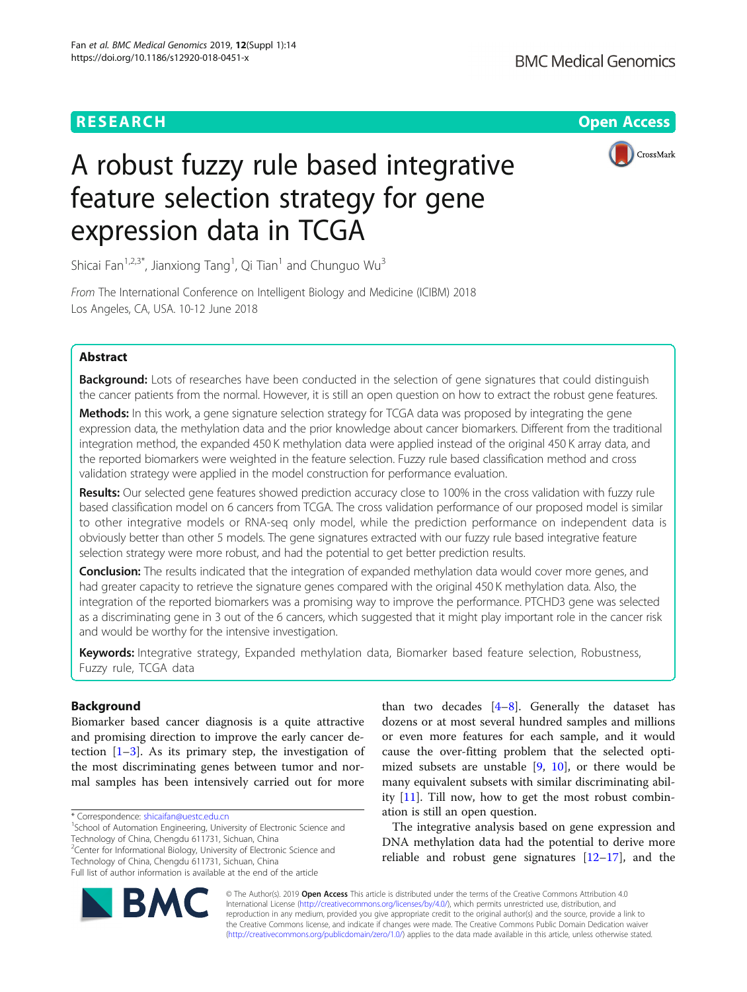# **RESEARCH CHINESE ARCH CHINESE ARCHITECT AND ACCESS**



# A robust fuzzy rule based integrative feature selection strategy for gene expression data in TCGA

Shicai Fan $^{1,2,3^\ast}$ , Jianxiong Tang $^1$ , Qi Tian $^1$  and Chunguo Wu $^3$ 

From The International Conference on Intelligent Biology and Medicine (ICIBM) 2018 Los Angeles, CA, USA. 10-12 June 2018

# Abstract

Background: Lots of researches have been conducted in the selection of gene signatures that could distinguish the cancer patients from the normal. However, it is still an open question on how to extract the robust gene features.

Methods: In this work, a gene signature selection strategy for TCGA data was proposed by integrating the gene expression data, the methylation data and the prior knowledge about cancer biomarkers. Different from the traditional integration method, the expanded 450 K methylation data were applied instead of the original 450 K array data, and the reported biomarkers were weighted in the feature selection. Fuzzy rule based classification method and cross validation strategy were applied in the model construction for performance evaluation.

Results: Our selected gene features showed prediction accuracy close to 100% in the cross validation with fuzzy rule based classification model on 6 cancers from TCGA. The cross validation performance of our proposed model is similar to other integrative models or RNA-seq only model, while the prediction performance on independent data is obviously better than other 5 models. The gene signatures extracted with our fuzzy rule based integrative feature selection strategy were more robust, and had the potential to get better prediction results.

Conclusion: The results indicated that the integration of expanded methylation data would cover more genes, and had greater capacity to retrieve the signature genes compared with the original 450 K methylation data. Also, the integration of the reported biomarkers was a promising way to improve the performance. PTCHD3 gene was selected as a discriminating gene in 3 out of the 6 cancers, which suggested that it might play important role in the cancer risk and would be worthy for the intensive investigation.

Keywords: Integrative strategy, Expanded methylation data, Biomarker based feature selection, Robustness, Fuzzy rule, TCGA data

# **Background**

Biomarker based cancer diagnosis is a quite attractive and promising direction to improve the early cancer detection  $[1-3]$  $[1-3]$  $[1-3]$  $[1-3]$ . As its primary step, the investigation of the most discriminating genes between tumor and normal samples has been intensively carried out for more

<sup>2</sup>Center for Informational Biology, University of Electronic Science and Technology of China, Chengdu 611731, Sichuan, China

Full list of author information is available at the end of the article



than two decades  $[4-8]$  $[4-8]$  $[4-8]$  $[4-8]$  $[4-8]$ . Generally the dataset has dozens or at most several hundred samples and millions or even more features for each sample, and it would cause the over-fitting problem that the selected optimized subsets are unstable  $[9, 10]$  $[9, 10]$  $[9, 10]$  $[9, 10]$ , or there would be many equivalent subsets with similar discriminating ability [[11\]](#page-7-0). Till now, how to get the most robust combination is still an open question.

The integrative analysis based on gene expression and DNA methylation data had the potential to derive more reliable and robust gene signatures  $[12-17]$  $[12-17]$  $[12-17]$ , and the

© The Author(s). 2019 **Open Access** This article is distributed under the terms of the Creative Commons Attribution 4.0 International License [\(http://creativecommons.org/licenses/by/4.0/](http://creativecommons.org/licenses/by/4.0/)), which permits unrestricted use, distribution, and reproduction in any medium, provided you give appropriate credit to the original author(s) and the source, provide a link to the Creative Commons license, and indicate if changes were made. The Creative Commons Public Domain Dedication waiver [\(http://creativecommons.org/publicdomain/zero/1.0/](http://creativecommons.org/publicdomain/zero/1.0/)) applies to the data made available in this article, unless otherwise stated.

<sup>\*</sup> Correspondence: [shicaifan@uestc.edu.cn](mailto:shicaifan@uestc.edu.cn) <sup>1</sup>

<sup>&</sup>lt;sup>1</sup>School of Automation Engineering, University of Electronic Science and Technology of China, Chengdu 611731, Sichuan, China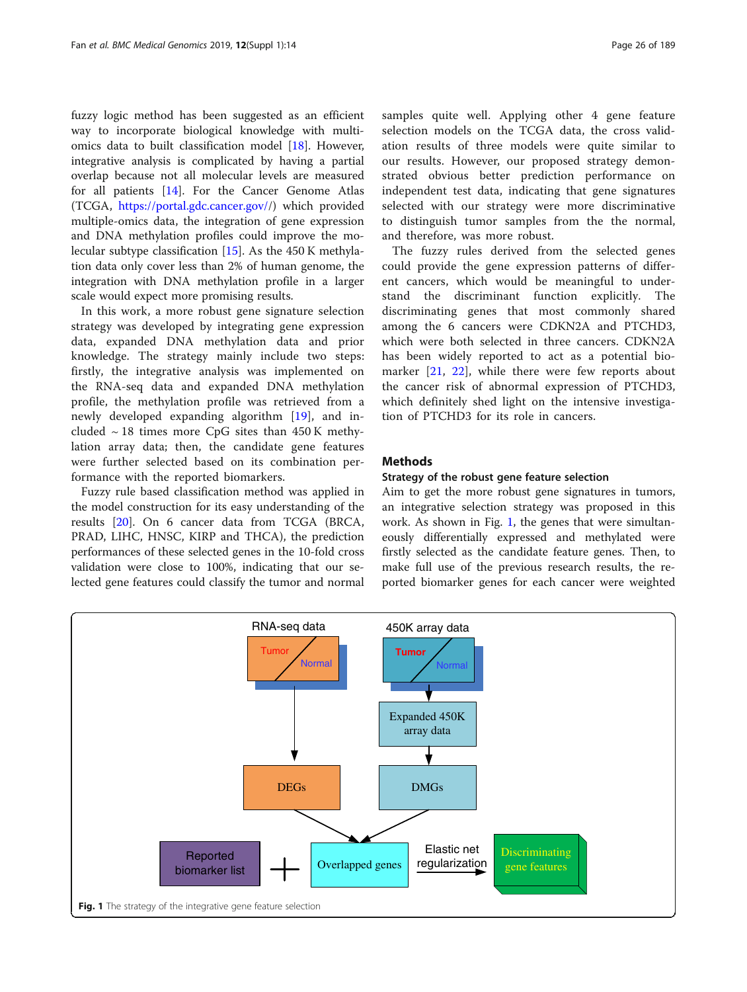fuzzy logic method has been suggested as an efficient way to incorporate biological knowledge with multiomics data to built classification model [[18\]](#page-7-0). However, integrative analysis is complicated by having a partial overlap because not all molecular levels are measured for all patients [\[14](#page-7-0)]. For the Cancer Genome Atlas (TCGA, [https://portal.gdc.cancer.gov//](https://portal.gdc.cancer.gov/)) which provided multiple-omics data, the integration of gene expression and DNA methylation profiles could improve the molecular subtype classification [\[15\]](#page-7-0). As the 450 K methylation data only cover less than 2% of human genome, the integration with DNA methylation profile in a larger scale would expect more promising results.

In this work, a more robust gene signature selection strategy was developed by integrating gene expression data, expanded DNA methylation data and prior knowledge. The strategy mainly include two steps: firstly, the integrative analysis was implemented on the RNA-seq data and expanded DNA methylation profile, the methylation profile was retrieved from a newly developed expanding algorithm [\[19](#page-7-0)], and included  $\sim$  18 times more CpG sites than 450 K methylation array data; then, the candidate gene features were further selected based on its combination performance with the reported biomarkers.

Fuzzy rule based classification method was applied in the model construction for its easy understanding of the results [[20\]](#page-7-0). On 6 cancer data from TCGA (BRCA, PRAD, LIHC, HNSC, KIRP and THCA), the prediction performances of these selected genes in the 10-fold cross validation were close to 100%, indicating that our selected gene features could classify the tumor and normal samples quite well. Applying other 4 gene feature selection models on the TCGA data, the cross validation results of three models were quite similar to our results. However, our proposed strategy demonstrated obvious better prediction performance on independent test data, indicating that gene signatures selected with our strategy were more discriminative to distinguish tumor samples from the the normal, and therefore, was more robust.

The fuzzy rules derived from the selected genes could provide the gene expression patterns of different cancers, which would be meaningful to understand the discriminant function explicitly. The discriminating genes that most commonly shared among the 6 cancers were CDKN2A and PTCHD3, which were both selected in three cancers. CDKN2A has been widely reported to act as a potential biomarker [[21](#page-7-0), [22\]](#page-7-0), while there were few reports about the cancer risk of abnormal expression of PTCHD3, which definitely shed light on the intensive investigation of PTCHD3 for its role in cancers.

# **Methods**

# Strategy of the robust gene feature selection

Aim to get the more robust gene signatures in tumors, an integrative selection strategy was proposed in this work. As shown in Fig. 1, the genes that were simultaneously differentially expressed and methylated were firstly selected as the candidate feature genes. Then, to make full use of the previous research results, the reported biomarker genes for each cancer were weighted

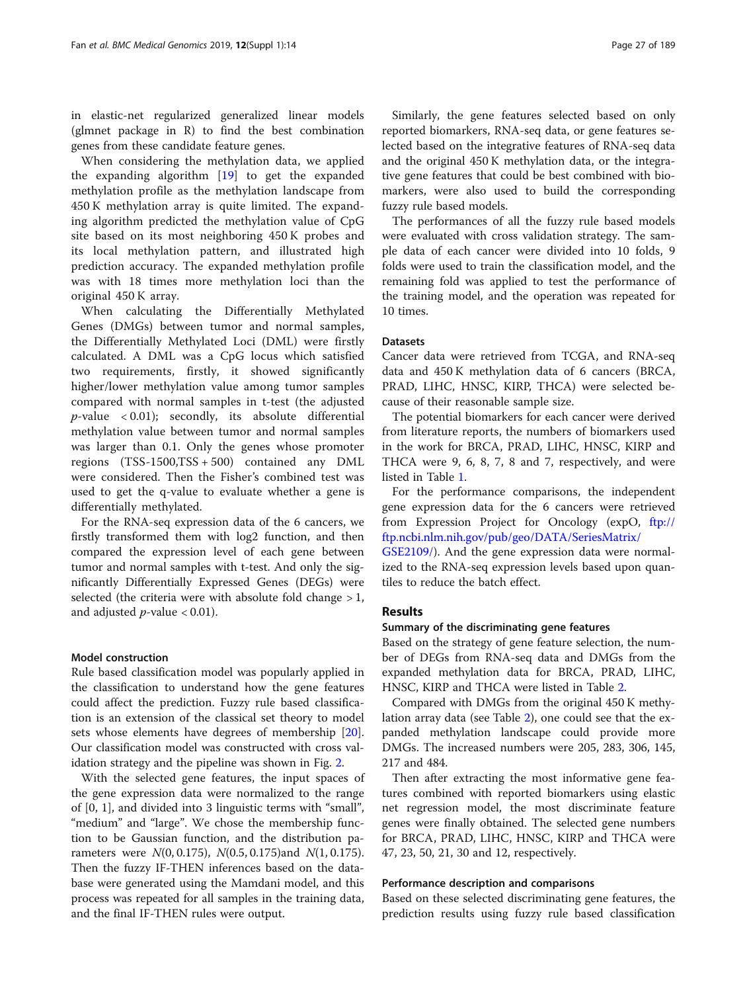in elastic-net regularized generalized linear models (glmnet package in R) to find the best combination genes from these candidate feature genes.

When considering the methylation data, we applied the expanding algorithm [[19\]](#page-7-0) to get the expanded methylation profile as the methylation landscape from 450 K methylation array is quite limited. The expanding algorithm predicted the methylation value of CpG site based on its most neighboring 450 K probes and its local methylation pattern, and illustrated high prediction accuracy. The expanded methylation profile was with 18 times more methylation loci than the original 450 K array.

When calculating the Differentially Methylated Genes (DMGs) between tumor and normal samples, the Differentially Methylated Loci (DML) were firstly calculated. A DML was a CpG locus which satisfied two requirements, firstly, it showed significantly higher/lower methylation value among tumor samples compared with normal samples in t-test (the adjusted  $p$ -value < 0.01); secondly, its absolute differential methylation value between tumor and normal samples was larger than 0.1. Only the genes whose promoter regions (TSS-1500,TSS + 500) contained any DML were considered. Then the Fisher's combined test was used to get the q-value to evaluate whether a gene is differentially methylated.

For the RNA-seq expression data of the 6 cancers, we firstly transformed them with log2 function, and then compared the expression level of each gene between tumor and normal samples with t-test. And only the significantly Differentially Expressed Genes (DEGs) were selected (the criteria were with absolute fold change  $>1$ , and adjusted  $p$ -value  $< 0.01$ ).

## Model construction

Rule based classification model was popularly applied in the classification to understand how the gene features could affect the prediction. Fuzzy rule based classification is an extension of the classical set theory to model sets whose elements have degrees of membership [\[20](#page-7-0)]. Our classification model was constructed with cross validation strategy and the pipeline was shown in Fig. [2.](#page-3-0)

With the selected gene features, the input spaces of the gene expression data were normalized to the range of [0, 1], and divided into 3 linguistic terms with "small", "medium" and "large". We chose the membership function to be Gaussian function, and the distribution parameters were  $N(0, 0.175)$ ,  $N(0.5, 0.175)$  and  $N(1, 0.175)$ . Then the fuzzy IF-THEN inferences based on the database were generated using the Mamdani model, and this process was repeated for all samples in the training data, and the final IF-THEN rules were output.

Similarly, the gene features selected based on only reported biomarkers, RNA-seq data, or gene features selected based on the integrative features of RNA-seq data and the original 450 K methylation data, or the integrative gene features that could be best combined with biomarkers, were also used to build the corresponding fuzzy rule based models.

The performances of all the fuzzy rule based models were evaluated with cross validation strategy. The sample data of each cancer were divided into 10 folds, 9 folds were used to train the classification model, and the remaining fold was applied to test the performance of the training model, and the operation was repeated for 10 times.

# Datasets

Cancer data were retrieved from TCGA, and RNA-seq data and 450 K methylation data of 6 cancers (BRCA, PRAD, LIHC, HNSC, KIRP, THCA) were selected because of their reasonable sample size.

The potential biomarkers for each cancer were derived from literature reports, the numbers of biomarkers used in the work for BRCA, PRAD, LIHC, HNSC, KIRP and THCA were 9, 6, 8, 7, 8 and 7, respectively, and were listed in Table [1](#page-3-0).

For the performance comparisons, the independent gene expression data for the 6 cancers were retrieved from Expression Project for Oncology (expO, [ftp://](ftp://ftp.ncbi.nlm.nih.gov/pub/geo/DATA/SeriesMatrix/GSE2109/) [ftp.ncbi.nlm.nih.gov/pub/geo/DATA/SeriesMatrix/](ftp://ftp.ncbi.nlm.nih.gov/pub/geo/DATA/SeriesMatrix/GSE2109/)

[GSE2109/\)](ftp://ftp.ncbi.nlm.nih.gov/pub/geo/DATA/SeriesMatrix/GSE2109/). And the gene expression data were normalized to the RNA-seq expression levels based upon quantiles to reduce the batch effect.

## Results

## Summary of the discriminating gene features

Based on the strategy of gene feature selection, the number of DEGs from RNA-seq data and DMGs from the expanded methylation data for BRCA, PRAD, LIHC, HNSC, KIRP and THCA were listed in Table [2.](#page-4-0)

Compared with DMGs from the original 450 K methylation array data (see Table [2](#page-4-0)), one could see that the expanded methylation landscape could provide more DMGs. The increased numbers were 205, 283, 306, 145, 217 and 484.

Then after extracting the most informative gene features combined with reported biomarkers using elastic net regression model, the most discriminate feature genes were finally obtained. The selected gene numbers for BRCA, PRAD, LIHC, HNSC, KIRP and THCA were 47, 23, 50, 21, 30 and 12, respectively.

## Performance description and comparisons

Based on these selected discriminating gene features, the prediction results using fuzzy rule based classification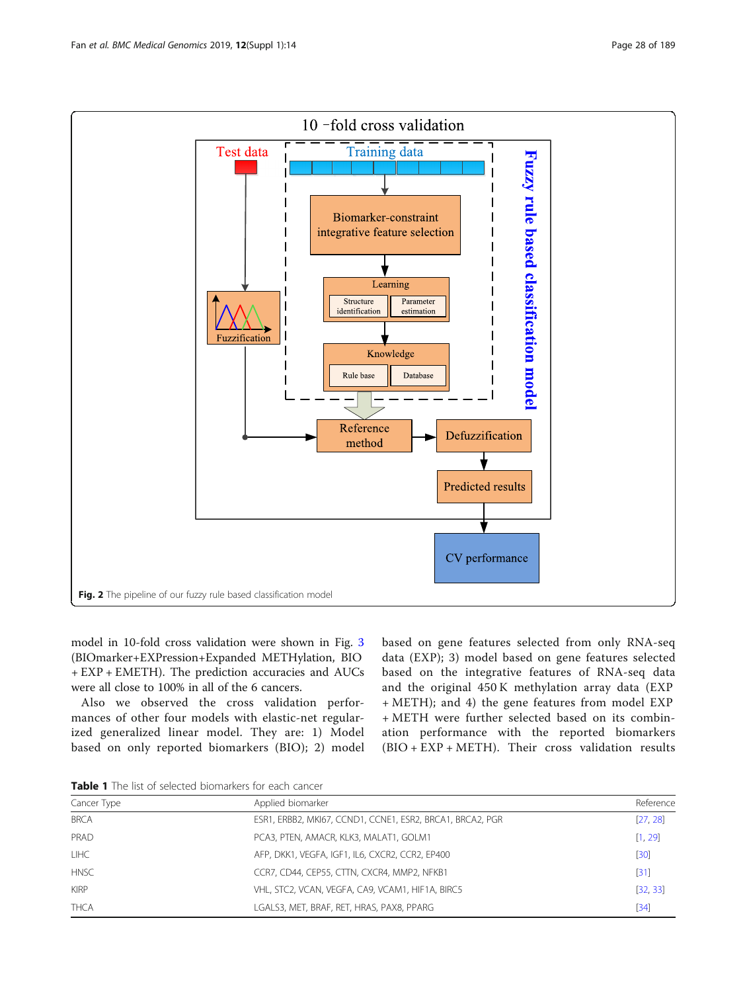<span id="page-3-0"></span>

model in 10-fold cross validation were shown in Fig. [3](#page-4-0) (BIOmarker+EXPression+Expanded METHylation, BIO + EXP + EMETH). The prediction accuracies and AUCs were all close to 100% in all of the 6 cancers.

Also we observed the cross validation performances of other four models with elastic-net regularized generalized linear model. They are: 1) Model based on only reported biomarkers (BIO); 2) model based on gene features selected from only RNA-seq data (EXP); 3) model based on gene features selected based on the integrative features of RNA-seq data and the original 450 K methylation array data (EXP + METH); and 4) the gene features from model EXP + METH were further selected based on its combination performance with the reported biomarkers (BIO + EXP + METH). Their cross validation results

Table 1 The list of selected biomarkers for each cancer

| Cancer Type | Applied biomarker                                         | Reference |
|-------------|-----------------------------------------------------------|-----------|
| <b>BRCA</b> | ESR1, ERBB2, MKI67, CCND1, CCNE1, ESR2, BRCA1, BRCA2, PGR | [27, 28]  |
| PRAD        | PCA3, PTEN, AMACR, KLK3, MALAT1, GOLM1                    | [1, 29]   |
| <b>LIHC</b> | AFP, DKK1, VEGFA, IGF1, IL6, CXCR2, CCR2, EP400           | [30]      |
| <b>HNSC</b> | CCR7, CD44, CEP55, CTTN, CXCR4, MMP2, NFKB1               | $[31]$    |
| <b>KIRP</b> | VHL, STC2, VCAN, VEGFA, CA9, VCAM1, HIF1A, BIRC5          | [32, 33]  |
| <b>THCA</b> | LGALS3, MET, BRAF, RET, HRAS, PAX8, PPARG                 | [34]      |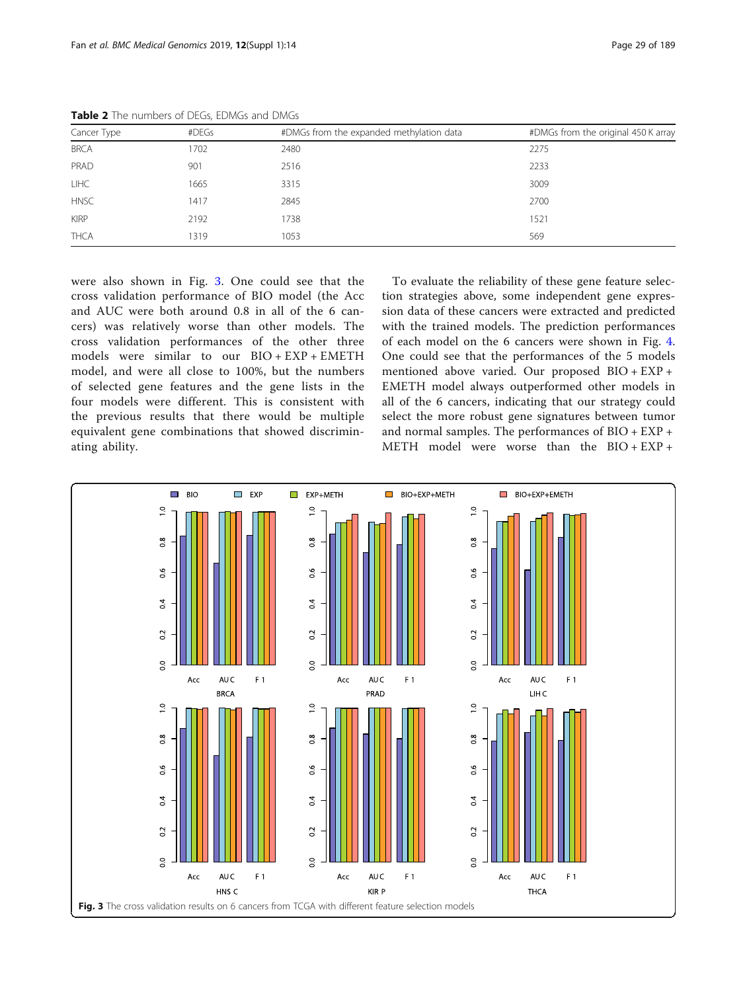| Cancer Type<br>#DEGs |      | #DMGs from the expanded methylation data | #DMGs from the original 450 K array |
|----------------------|------|------------------------------------------|-------------------------------------|
| <b>BRCA</b>          | 1702 | 2480                                     | 2275                                |
| PRAD                 | 901  | 2516                                     | 2233                                |
| <b>LIHC</b>          | 1665 | 3315                                     | 3009                                |
| <b>HNSC</b>          | 1417 | 2845                                     | 2700                                |
| <b>KIRP</b>          | 2192 | 1738                                     | 1521                                |
| <b>THCA</b>          | 1319 | 1053                                     | 569                                 |

<span id="page-4-0"></span>Table 2 The numbers of DEGs, EDMGs and DMGs

were also shown in Fig. 3. One could see that the cross validation performance of BIO model (the Acc and AUC were both around 0.8 in all of the 6 cancers) was relatively worse than other models. The cross validation performances of the other three models were similar to our BIO + EXP + EMETH model, and were all close to 100%, but the numbers of selected gene features and the gene lists in the four models were different. This is consistent with the previous results that there would be multiple equivalent gene combinations that showed discriminating ability.

To evaluate the reliability of these gene feature selection strategies above, some independent gene expression data of these cancers were extracted and predicted with the trained models. The prediction performances of each model on the 6 cancers were shown in Fig. [4](#page-5-0). One could see that the performances of the 5 models mentioned above varied. Our proposed BIO + EXP + EMETH model always outperformed other models in all of the 6 cancers, indicating that our strategy could select the more robust gene signatures between tumor and normal samples. The performances of BIO + EXP + METH model were worse than the BIO + EXP +

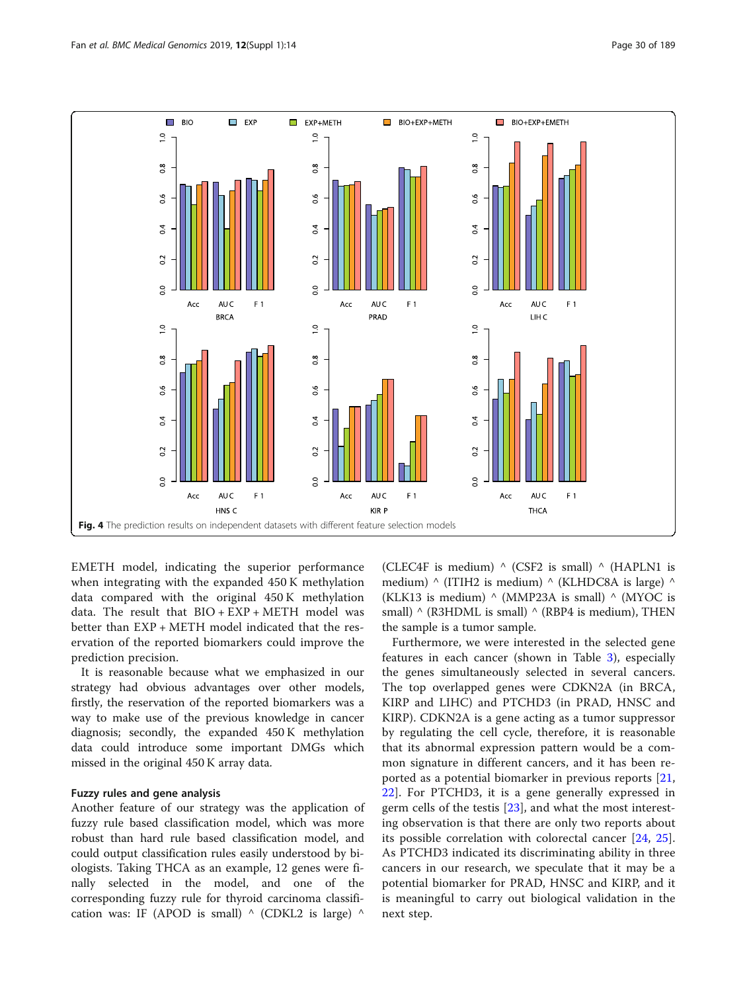<span id="page-5-0"></span>

EMETH model, indicating the superior performance when integrating with the expanded 450 K methylation data compared with the original 450 K methylation data. The result that  $BIO + EXP + METH$  model was better than EXP + METH model indicated that the reservation of the reported biomarkers could improve the prediction precision.

It is reasonable because what we emphasized in our strategy had obvious advantages over other models, firstly, the reservation of the reported biomarkers was a way to make use of the previous knowledge in cancer diagnosis; secondly, the expanded 450 K methylation data could introduce some important DMGs which missed in the original 450 K array data.

# Fuzzy rules and gene analysis

Another feature of our strategy was the application of fuzzy rule based classification model, which was more robust than hard rule based classification model, and could output classification rules easily understood by biologists. Taking THCA as an example, 12 genes were finally selected in the model, and one of the corresponding fuzzy rule for thyroid carcinoma classification was: IF (APOD is small)  $\land$  (CDKL2 is large)  $\land$ 

(CLEC4F is medium)  $\wedge$  (CSF2 is small)  $\wedge$  (HAPLN1 is medium)  $\land$  (ITIH2 is medium)  $\land$  (KLHDC8A is large)  $\land$ (KLK13 is medium)  $\land$  (MMP23A is small)  $\land$  (MYOC is small)  $\land$  (R3HDML is small)  $\land$  (RBP4 is medium), THEN the sample is a tumor sample.

Furthermore, we were interested in the selected gene features in each cancer (shown in Table [3](#page-6-0)), especially the genes simultaneously selected in several cancers. The top overlapped genes were CDKN2A (in BRCA, KIRP and LIHC) and PTCHD3 (in PRAD, HNSC and KIRP). CDKN2A is a gene acting as a tumor suppressor by regulating the cell cycle, therefore, it is reasonable that its abnormal expression pattern would be a common signature in different cancers, and it has been reported as a potential biomarker in previous reports [\[21](#page-7-0), [22\]](#page-7-0). For PTCHD3, it is a gene generally expressed in germ cells of the testis [[23\]](#page-7-0), and what the most interesting observation is that there are only two reports about its possible correlation with colorectal cancer [[24,](#page-7-0) [25](#page-7-0)]. As PTCHD3 indicated its discriminating ability in three cancers in our research, we speculate that it may be a potential biomarker for PRAD, HNSC and KIRP, and it is meaningful to carry out biological validation in the next step.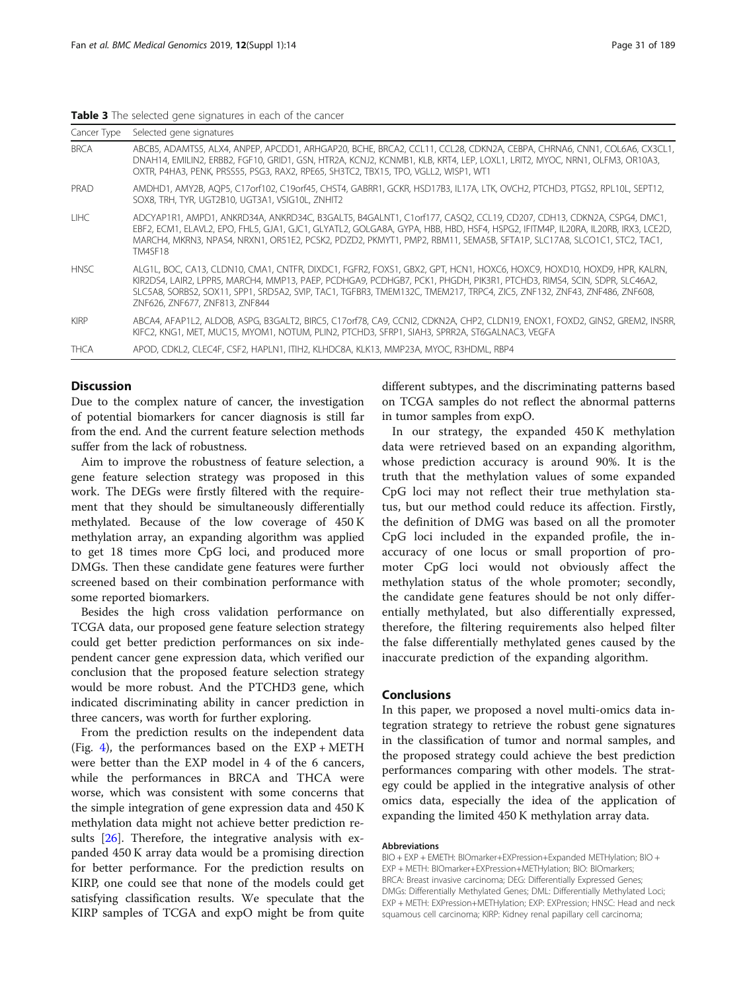<span id="page-6-0"></span>

|  |  | Table 3 The selected gene signatures in each of the cancer |  |  |
|--|--|------------------------------------------------------------|--|--|
|  |  |                                                            |  |  |

| Cancer Type | Selected gene signatures                                                                                                                                                                                                                                                                                                                                                                                      |
|-------------|---------------------------------------------------------------------------------------------------------------------------------------------------------------------------------------------------------------------------------------------------------------------------------------------------------------------------------------------------------------------------------------------------------------|
| <b>BRCA</b> | ABCB5, ADAMTS5, ALX4, ANPEP, APCDD1, ARHGAP20, BCHE, BRCA2, CCL11, CCL28, CDKN2A, CEBPA, CHRNA6, CNN1, COL6A6, CX3CL1,<br>DNAH14, EMILIN2, ERBB2, FGF10, GRID1, GSN, HTR2A, KCNJ2, KCNMB1, KLB, KRT4, LEP, LOXL1, LRIT2, MYOC, NRN1, OLFM3, OR10A3,<br>OXTR, P4HA3, PENK, PRSS55, PSG3, RAX2, RPE65, SH3TC2, TBX15, TPO, VGLL2, WISP1, WT1                                                                    |
| PRAD        | AMDHD1, AMY2B, AQP5, C17orf102, C19orf45, CHST4, GABRR1, GCKR, HSD17B3, IL17A, LTK, OVCH2, PTCHD3, PTGS2, RPL10L, SEPT12,<br>SOX8, TRH, TYR, UGT2B10, UGT3A1, VSIG10L, ZNHIT2                                                                                                                                                                                                                                 |
| TIHC.       | ADCYAP1R1, AMPD1, ANKRD34A, ANKRD34C, B3GALT5, B4GALNT1, C1orf177, CASQ2, CCL19, CD207, CDH13, CDKN2A, CSPG4, DMC1,<br>EBF2, ECM1, ELAVL2, EPO, FHL5, GJA1, GJC1, GLYATL2, GOLGA8A, GYPA, HBB, HBD, HSF4, HSPG2, IFITM4P, IL20RA, IL20RB, IRX3, LCE2D,<br>MARCH4, MKRN3, NPAS4, NRXN1, OR51E2, PCSK2, PDZD2, PKMYT1, PMP2, RBM11, SEMA5B, SFTA1P, SLC17A8, SLCO1C1, STC2, TAC1,<br><b>TM4SF18</b>             |
| <b>HNSC</b> | ALG1L, BOC, CA13, CLDN10, CMA1, CNTFR, DIXDC1, FGFR2, FOXS1, GBX2, GPT, HCN1, HOXC6, HOXC9, HOXD10, HOXD9, HPR, KALRN,<br>KIR2DS4, LAIR2, LPPR5, MARCH4, MMP13, PAEP, PCDHGA9, PCDHGB7, PCK1, PHGDH, PIK3R1, PTCHD3, RIMS4, SCIN, SDPR, SLC46A2,<br>SLC5A8, SORBS2, SOX11, SPP1, SRD5A2, SVIP, TAC1, TGFBR3, TMEM132C, TMEM217, TRPC4, ZIC5, ZNF132, ZNF43, ZNF486, ZNF608,<br>ZNF626, ZNF677, ZNF813, ZNF844 |
| <b>KIRP</b> | ABCA4, AFAP1L2, ALDOB, ASPG, B3GALT2, BIRC5, C17orf78, CA9, CCNI2, CDKN2A, CHP2, CLDN19, ENOX1, FOXD2, GINS2, GREM2, INSRR,<br>KIFC2, KNG1, MET, MUC15, MYOM1, NOTUM, PLIN2, PTCHD3, SFRP1, SIAH3, SPRR2A, ST6GALNAC3, VEGFA                                                                                                                                                                                  |
| <b>THCA</b> | APOD, CDKL2, CLEC4F, CSF2, HAPLN1, ITIH2, KLHDC8A, KLK13, MMP23A, MYOC, R3HDML, RBP4                                                                                                                                                                                                                                                                                                                          |

# **Discussion**

Due to the complex nature of cancer, the investigation of potential biomarkers for cancer diagnosis is still far from the end. And the current feature selection methods suffer from the lack of robustness.

Aim to improve the robustness of feature selection, a gene feature selection strategy was proposed in this work. The DEGs were firstly filtered with the requirement that they should be simultaneously differentially methylated. Because of the low coverage of 450 K methylation array, an expanding algorithm was applied to get 18 times more CpG loci, and produced more DMGs. Then these candidate gene features were further screened based on their combination performance with some reported biomarkers.

Besides the high cross validation performance on TCGA data, our proposed gene feature selection strategy could get better prediction performances on six independent cancer gene expression data, which verified our conclusion that the proposed feature selection strategy would be more robust. And the PTCHD3 gene, which indicated discriminating ability in cancer prediction in three cancers, was worth for further exploring.

From the prediction results on the independent data (Fig. [4](#page-5-0)), the performances based on the  $EXP + METH$ were better than the EXP model in 4 of the 6 cancers, while the performances in BRCA and THCA were worse, which was consistent with some concerns that the simple integration of gene expression data and 450 K methylation data might not achieve better prediction results [[26\]](#page-7-0). Therefore, the integrative analysis with expanded 450 K array data would be a promising direction for better performance. For the prediction results on KIRP, one could see that none of the models could get satisfying classification results. We speculate that the KIRP samples of TCGA and expO might be from quite

different subtypes, and the discriminating patterns based on TCGA samples do not reflect the abnormal patterns in tumor samples from expO.

In our strategy, the expanded 450 K methylation data were retrieved based on an expanding algorithm, whose prediction accuracy is around 90%. It is the truth that the methylation values of some expanded CpG loci may not reflect their true methylation status, but our method could reduce its affection. Firstly, the definition of DMG was based on all the promoter CpG loci included in the expanded profile, the inaccuracy of one locus or small proportion of promoter CpG loci would not obviously affect the methylation status of the whole promoter; secondly, the candidate gene features should be not only differentially methylated, but also differentially expressed, therefore, the filtering requirements also helped filter the false differentially methylated genes caused by the inaccurate prediction of the expanding algorithm.

# **Conclusions**

In this paper, we proposed a novel multi-omics data integration strategy to retrieve the robust gene signatures in the classification of tumor and normal samples, and the proposed strategy could achieve the best prediction performances comparing with other models. The strategy could be applied in the integrative analysis of other omics data, especially the idea of the application of expanding the limited 450 K methylation array data.

# Abbreviations

BIO + EXP + EMETH: BIOmarker+EXPression+Expanded METHylation; BIO + EXP + METH: BIOmarker+EXPression+METHylation; BIO: BIOmarkers; BRCA: Breast invasive carcinoma; DEG: Differentially Expressed Genes; DMGs: Differentially Methylated Genes; DML: Differentially Methylated Loci; EXP + METH: EXPression+METHylation; EXP: EXPression; HNSC: Head and neck squamous cell carcinoma; KIRP: Kidney renal papillary cell carcinoma;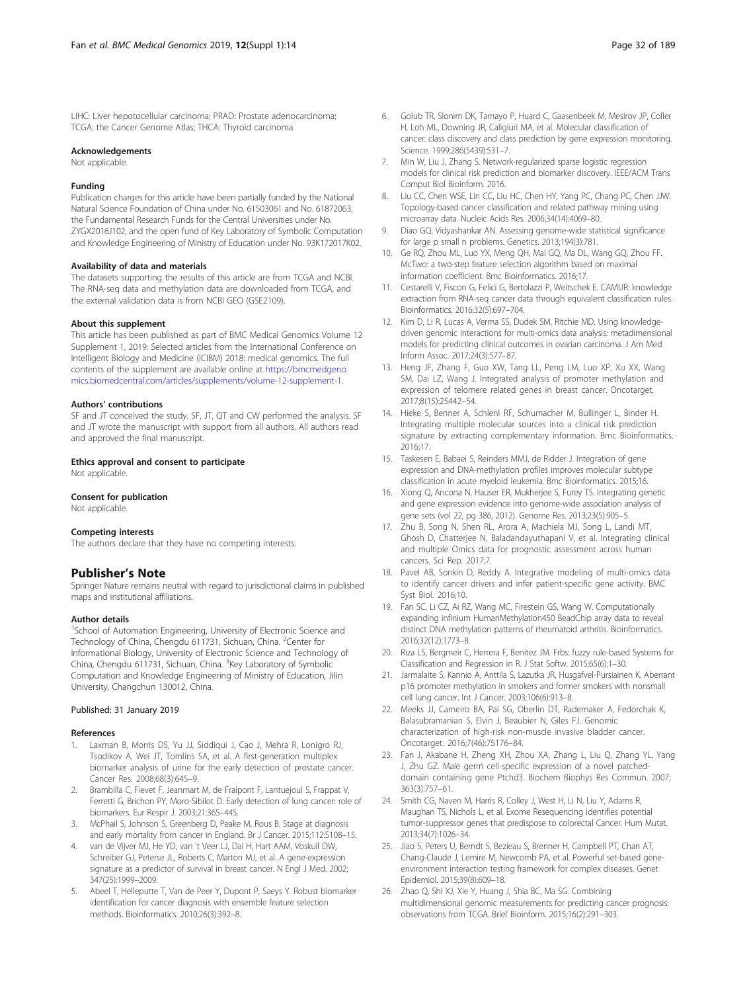<span id="page-7-0"></span>LIHC: Liver hepotocellular carcinoma; PRAD: Prostate adenocarcinoma; TCGA: the Cancer Genome Atlas; THCA: Thyroid carcinoma

#### Acknowledgements

Not applicable.

#### Funding

Publication charges for this article have been partially funded by the National Natural Science Foundation of China under No. 61503061 and No. 61872063, the Fundamental Research Funds for the Central Universities under No. ZYGX2016J102, and the open fund of Key Laboratory of Symbolic Computation and Knowledge Engineering of Ministry of Education under No. 93K172017K02.

#### Availability of data and materials

The datasets supporting the results of this article are from TCGA and NCBI. The RNA-seq data and methylation data are downloaded from TCGA, and the external validation data is from NCBI GEO (GSE2109).

#### About this supplement

This article has been published as part of BMC Medical Genomics Volume 12 Supplement 1, 2019: Selected articles from the International Conference on Intelligent Biology and Medicine (ICIBM) 2018: medical genomics. The full contents of the supplement are available online at [https://bmcmedgeno](https://bmcmedgenomics.biomedcentral.com/articles/supplements/volume-12-supplement-1.) [mics.biomedcentral.com/articles/supplements/volume-12-supplement-1.](https://bmcmedgenomics.biomedcentral.com/articles/supplements/volume-12-supplement-1.)

# Authors' contributions

SF and JT conceived the study. SF, JT, QT and CW performed the analysis. SF and JT wrote the manuscript with support from all authors. All authors read and approved the final manuscript.

#### Ethics approval and consent to participate

Not applicable.

# Consent for publication

Not applicable.

#### Competing interests

The authors declare that they have no competing interests.

# Publisher's Note

Springer Nature remains neutral with regard to jurisdictional claims in published maps and institutional affiliations.

# Author details

<sup>1</sup>School of Automation Engineering, University of Electronic Science and Technology of China, Chengdu 611731, Sichuan, China. <sup>2</sup>Center for Informational Biology, University of Electronic Science and Technology of China, Chengdu 611731, Sichuan, China. <sup>3</sup>Key Laboratory of Symbolic Computation and Knowledge Engineering of Ministry of Education, Jilin University, Changchun 130012, China.

## Published: 31 January 2019

#### References

- 1. Laxman B, Morris DS, Yu JJ, Siddiqui J, Cao J, Mehra R, Lonigro RJ, Tsodikov A, Wei JT, Tomlins SA, et al. A first-generation multiplex biomarker analysis of urine for the early detection of prostate cancer. Cancer Res. 2008;68(3):645–9.
- Brambilla C, Fievet F, Jeanmart M, de Fraipont F, Lantuejoul S, Frappat V, Ferretti G, Brichon PY, Moro-Sibilot D. Early detection of lung cancer: role of biomarkers. Eur Respir J. 2003;21:36S–44S.
- 3. McPhail S, Johnson S, Greenberg D, Peake M, Rous B. Stage at diagnosis and early mortality from cancer in England. Br J Cancer. 2015;112:S108–15.
- 4. van de Vijver MJ, He YD, van 't Veer LJ, Dai H, Hart AAM, Voskuil DW, Schreiber GJ, Peterse JL, Roberts C, Marton MJ, et al. A gene-expression signature as a predictor of survival in breast cancer. N Engl J Med. 2002; 347(25):1999–2009.
- 5. Abeel T, Helleputte T, Van de Peer Y, Dupont P, Saeys Y. Robust biomarker identification for cancer diagnosis with ensemble feature selection methods. Bioinformatics. 2010;26(3):392–8.
- 7. Min W, Liu J, Zhang S. Network-regularized sparse logistic regression models for clinical risk prediction and biomarker discovery. IEEE/ACM Trans Comput Biol Bioinform. 2016.
- 8. Liu CC, Chen WSE, Lin CC, Liu HC, Chen HY, Yang PC, Chang PC, Chen JJW. Topology-based cancer classification and related pathway mining using microarray data. Nucleic Acids Res. 2006;34(14):4069–80.
- 9. Diao GQ, Vidyashankar AN. Assessing genome-wide statistical significance for large p small n problems. Genetics. 2013;194(3):781.
- 10. Ge RQ, Zhou ML, Luo YX, Meng QH, Mai GQ, Ma DL, Wang GQ, Zhou FF. McTwo: a two-step feature selection algorithm based on maximal information coefficient. Bmc Bioinformatics. 2016;17.
- 11. Cestarelli V, Fiscon G, Felici G, Bertolazzi P, Weitschek E. CAMUR: knowledge extraction from RNA-seq cancer data through equivalent classification rules. Bioinformatics. 2016;32(5):697–704.
- 12. Kim D, Li R, Lucas A, Verma SS, Dudek SM, Ritchie MD. Using knowledgedriven genomic interactions for multi-omics data analysis: metadimensional models for predicting clinical outcomes in ovarian carcinoma. J Am Med Inform Assoc. 2017;24(3):577–87.
- 13. Heng JF, Zhang F, Guo XW, Tang LL, Peng LM, Luo XP, Xu XX, Wang SM, Dai LZ, Wang J. Integrated analysis of promoter methylation and expression of telomere related genes in breast cancer. Oncotarget. 2017;8(15):25442–54.
- 14. Hieke S, Benner A, Schlenl RF, Schumacher M, Bullinger L, Binder H. Integrating multiple molecular sources into a clinical risk prediction signature by extracting complementary information. Bmc Bioinformatics. 2016;17.
- 15. Taskesen E, Babaei S, Reinders MMJ, de Ridder J. Integration of gene expression and DNA-methylation profiles improves molecular subtype classification in acute myeloid leukemia. Bmc Bioinformatics. 2015;16.
- 16. Xiong Q, Ancona N, Hauser ER, Mukherjee S, Furey TS. Integrating genetic and gene expression evidence into genome-wide association analysis of gene sets (vol 22, pg 386, 2012). Genome Res. 2013;23(5):905–5.
- 17. Zhu B, Song N, Shen RL, Arora A, Machiela MJ, Song L, Landi MT, Ghosh D, Chatterjee N, Baladandayuthapani V, et al. Integrating clinical and multiple Omics data for prognostic assessment across human cancers. Sci Rep. 2017;7.
- 18. Pavel AB, Sonkin D, Reddy A. Integrative modeling of multi-omics data to identify cancer drivers and infer patient-specific gene activity. BMC Syst Biol. 2016;10.
- 19. Fan SC, Li CZ, Ai RZ, Wang MC, Firestein GS, Wang W. Computationally expanding infinium HumanMethylation450 BeadChip array data to reveal distinct DNA methylation patterns of rheumatoid arthritis. Bioinformatics. 2016;32(12):1773–8.
- 20. Riza LS, Bergmeir C, Herrera F, Benitez JM. Frbs: fuzzy rule-based Systems for Classification and Regression in R. J Stat Softw. 2015;65(6):1–30.
- 21. Jarmalaite S, Kannio A, Anttila S, Lazutka JR, Husgafvel-Pursiainen K. Aberrant p16 promoter methylation in smokers and former smokers with nonsmall cell lung cancer. Int J Cancer. 2003;106(6):913–8.
- 22. Meeks JJ, Carneiro BA, Pai SG, Oberlin DT, Rademaker A, Fedorchak K, Balasubramanian S, Elvin J, Beaubier N, Giles FJ. Genomic characterization of high-risk non-muscle invasive bladder cancer. Oncotarget. 2016;7(46):75176–84.
- 23. Fan J, Akabane H, Zheng XH, Zhou XA, Zhang L, Liu Q, Zhang YL, Yang J, Zhu GZ. Male germ cell-specific expression of a novel patcheddomain containing gene Ptchd3. Biochem Biophys Res Commun. 2007; 363(3):757–61.
- 24. Smith CG, Naven M, Harris R, Colley J, West H, Li N, Liu Y, Adams R, Maughan TS, Nichols L, et al. Exome Resequencing identifies potential tumor-suppressor genes that predispose to colorectal Cancer. Hum Mutat. 2013;34(7):1026–34.
- 25. Jiao S, Peters U, Berndt S, Bezieau S, Brenner H, Campbell PT, Chan AT, Chang-Claude J, Lemire M, Newcomb PA, et al. Powerful set-based geneenvironment interaction testing framework for complex diseases. Genet Epidemiol. 2015;39(8):609–18.
- 26. Zhao Q, Shi XJ, Xie Y, Huang J, Shia BC, Ma SG. Combining multidimensional genomic measurements for predicting cancer prognosis: observations from TCGA. Brief Bioinform. 2015;16(2):291–303.